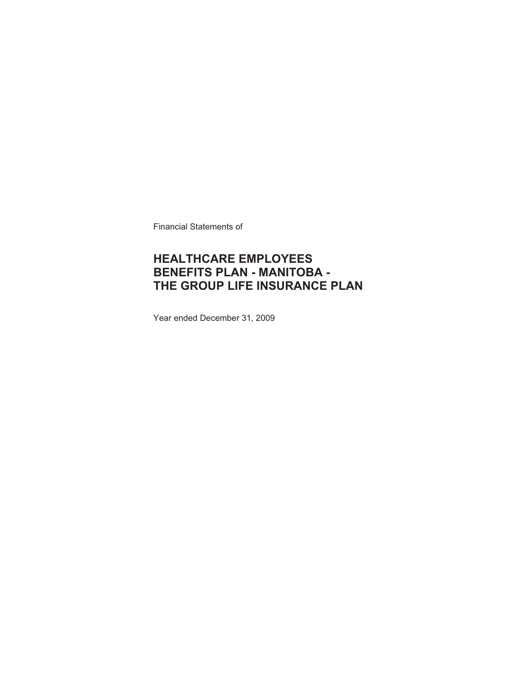Financial Statements of

### **HEALTHCARE EMPLOYEES BENEFITS PLAN - MANITOBA - THE GROUP LIFE INSURANCE PLAN**

Year ended December 31, 2009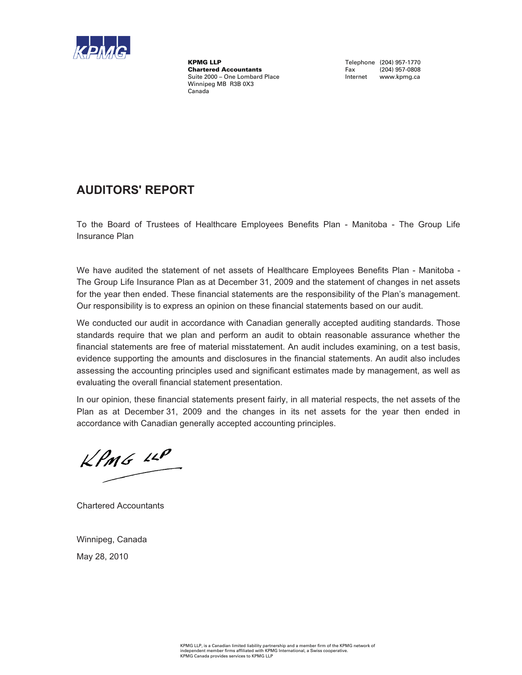

KPMG LLP<br>
Chartered Accountants<br>
Chartered Accountants<br>
Tax (204) 957-0808 **Chartered Accountants** Suite 2000 – One Lombard Place **Internet www.kpmg.ca** Winnipeg MB R3B 0X3 Canada

### **AUDITORS' REPORT**

To the Board of Trustees of Healthcare Employees Benefits Plan - Manitoba - The Group Life Insurance Plan

We have audited the statement of net assets of Healthcare Employees Benefits Plan - Manitoba - The Group Life Insurance Plan as at December 31, 2009 and the statement of changes in net assets for the year then ended. These financial statements are the responsibility of the Plan's management. Our responsibility is to express an opinion on these financial statements based on our audit.

We conducted our audit in accordance with Canadian generally accepted auditing standards. Those standards require that we plan and perform an audit to obtain reasonable assurance whether the financial statements are free of material misstatement. An audit includes examining, on a test basis, evidence supporting the amounts and disclosures in the financial statements. An audit also includes assessing the accounting principles used and significant estimates made by management, as well as evaluating the overall financial statement presentation.

In our opinion, these financial statements present fairly, in all material respects, the net assets of the Plan as at December 31, 2009 and the changes in its net assets for the year then ended in accordance with Canadian generally accepted accounting principles.

 $KPMG$  11P

Chartered Accountants

Winnipeg, Canada May 28, 2010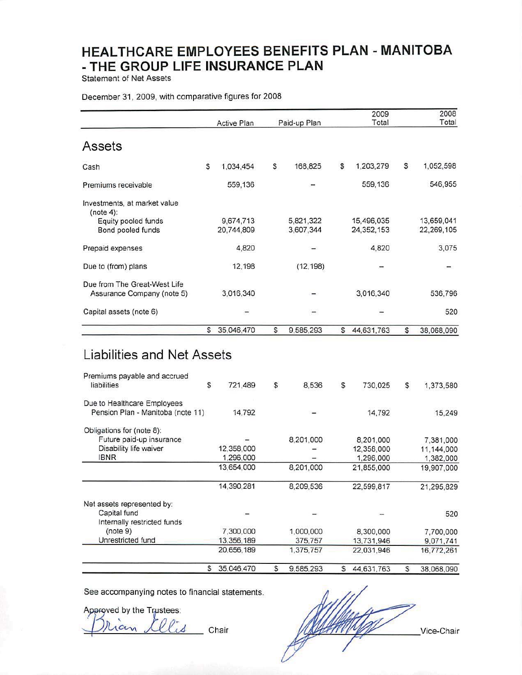**Statement of Net Assets** 

#### December 31, 2009, with comparative figures for 2008

|                                                                           |    | <b>Active Plan</b>      |    | Paid-up Plan           |              | 2009<br>Total            | 2008<br>Total            |
|---------------------------------------------------------------------------|----|-------------------------|----|------------------------|--------------|--------------------------|--------------------------|
| Assets                                                                    |    |                         |    |                        |              |                          |                          |
| Cash                                                                      | S  | 1,034,454               | S  | 168,825                | \$           | 1,203,279                | \$<br>1,052,598          |
| Premiums receivable                                                       |    | 559,136                 |    |                        |              | 559,136                  | 546,955                  |
| Investments, at market value<br>(note 4):                                 |    |                         |    |                        |              |                          |                          |
| Equity pooled funds<br>Bond pooled funds                                  |    | 9,674,713<br>20,744,809 |    | 5,821,322<br>3,607,344 |              | 15,496,035<br>24,352,153 | 13,659,041<br>22,269,105 |
| Prepaid expenses                                                          |    | 4,820                   |    |                        |              | 4,820                    | 3,075                    |
| Due to (from) plans                                                       |    | 12,198                  |    | (12, 198)              |              |                          |                          |
| Due from The Great-West Life<br>Assurance Company (note 5)                |    | 3,016,340               |    |                        |              | 3,016,340                | 536,796                  |
| Capital assets (note 6)                                                   |    |                         |    |                        |              |                          | 520                      |
|                                                                           | s. | 35,046,470              | S  | 9,585,293              | $\mathsf{s}$ | 44,631,763               | \$<br>38,068,090         |
| Liabilities and Net Assets<br>Premiums payable and accrued<br>liabilities | \$ | 721,489                 | \$ | 8,536                  | \$           | 730,025                  | \$<br>1,373,580          |
| Due to Healthcare Employees                                               |    |                         |    |                        |              |                          |                          |
| Pension Plan - Manitoba (note 11)                                         |    | 14,792                  |    |                        |              | 14,792                   | 15,249                   |
| Obligations for (note 8):<br>Future paid-up insurance                     |    |                         |    | 8,201,000              |              | 8,201,000                |                          |
| Disability life waiver                                                    |    | 12,358,000              |    |                        |              | 12,358,000               | 7,381,000<br>11,144,000  |
| <b>IBNR</b>                                                               |    | 1,296,000               |    |                        |              | 1,296,000                | 1,382,000                |
|                                                                           |    | 13,654,000              |    | 8,201,000              |              | 21,855,000               | 19,907,000               |
|                                                                           |    | 14,390,281              |    | 8,209,536              |              | 22,599,817               | 21,295,829               |

|                                                                           | 35.046.470 | 9.585.293 | 44.631.763 | 38.068.090 |
|---------------------------------------------------------------------------|------------|-----------|------------|------------|
|                                                                           | 20,656,189 | 1,375,757 | 22.031.946 | 16,772,261 |
| Unrestricted fund                                                         | 13,356,189 | 375,757   | 13,731,946 | 9,071,741  |
| (note 9)                                                                  | 7,300,000  | 1,000,000 | 8,300,000  | 7,700,000  |
| Net assets represented by:<br>Capital fund<br>Internally restricted funds |            |           |            | 520        |
|                                                                           |            |           |            |            |

See accompanying notes to financial statements.

Approved by the Trustees:  $\alpha$ Chair

Vice-Chair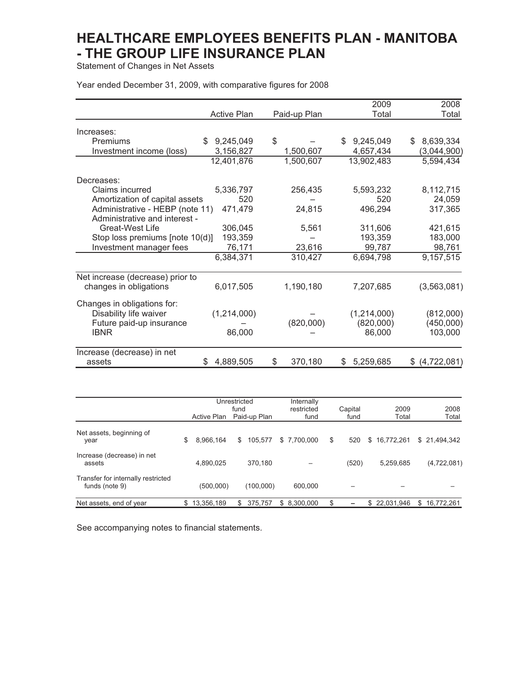Statement of Changes in Net Assets

Year ended December 31, 2009, with comparative figures for 2008

|                                  |                    |               | 2009           | 2008              |
|----------------------------------|--------------------|---------------|----------------|-------------------|
|                                  | <b>Active Plan</b> | Paid-up Plan  | Total          | Total             |
| Increases:                       |                    |               |                |                   |
| Premiums                         | \$9,245,049        | \$            | \$9,245,049    | 8,639,334<br>\$   |
|                                  |                    | 1,500,607     |                |                   |
| Investment income (loss)         | 3,156,827          |               | 4,657,434      | (3,044,900)       |
|                                  | 12,401,876         | 1,500,607     | 13,902,483     | 5,594,434         |
| Decreases:                       |                    |               |                |                   |
| Claims incurred                  | 5,336,797          | 256,435       | 5,593,232      | 8,112,715         |
| Amortization of capital assets   | 520                |               | 520            | 24,059            |
| Administrative - HEBP (note 11)  | 471,479            | 24,815        | 496,294        | 317,365           |
| Administrative and interest -    |                    |               |                |                   |
| <b>Great-West Life</b>           | 306,045            | 5,561         | 311,606        | 421,615           |
| Stop loss premiums [note 10(d)]  | 193,359            |               | 193,359        | 183,000           |
| Investment manager fees          | 76,171             | 23,616        | 99,787         | 98,761            |
|                                  | 6,384,371          | 310,427       | 6,694,798      | 9,157,515         |
|                                  |                    |               |                |                   |
| Net increase (decrease) prior to |                    |               |                |                   |
| changes in obligations           | 6,017,505          | 1,190,180     | 7,207,685      | (3,563,081)       |
| Changes in obligations for:      |                    |               |                |                   |
| Disability life waiver           | (1,214,000)        |               | (1,214,000)    | (812,000)         |
| Future paid-up insurance         |                    | (820,000)     | (820,000)      | (450,000)         |
| <b>IBNR</b>                      | 86,000             |               | 86,000         | 103,000           |
|                                  |                    |               |                |                   |
| Increase (decrease) in net       |                    |               |                |                   |
| assets                           | 4,889,505<br>S     | \$<br>370,180 | 5,259,685<br>S | (4,722,081)<br>S. |
|                                  |                    |               |                |                   |

|                                                      | Active Plan     | Unrestricted<br>fund | Paid-up Plan |   | Internally<br>restricted<br>fund | Capital<br>fund |    | 2009<br>Total | 2008<br>Total    |
|------------------------------------------------------|-----------------|----------------------|--------------|---|----------------------------------|-----------------|----|---------------|------------------|
| Net assets, beginning of<br>year                     | \$<br>8.966.164 | \$                   | 105,577      |   | \$7,700,000                      | \$<br>520       | \$ | 16,772,261    | \$21,494,342     |
| Increase (decrease) in net<br>assets                 | 4,890,025       |                      | 370.180      |   |                                  | (520)           |    | 5,259,685     | (4,722,081)      |
| Transfer for internally restricted<br>funds (note 9) | (500,000)       |                      | (100,000)    |   | 600.000                          |                 |    |               |                  |
| Net assets, end of year                              | 13,356,189      | S                    | 375,757      | S | 8.300.000                        |                 | S  | 22,031,946    | \$<br>16.772.261 |

See accompanying notes to financial statements.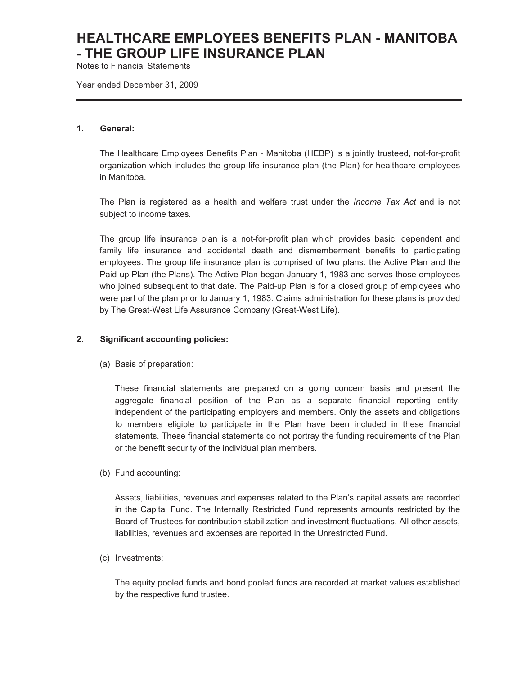Notes to Financial Statements

Year ended December 31, 2009

#### **1. General:**

The Healthcare Employees Benefits Plan - Manitoba (HEBP) is a jointly trusteed, not-for-profit organization which includes the group life insurance plan (the Plan) for healthcare employees in Manitoba.

The Plan is registered as a health and welfare trust under the *Income Tax Act* and is not subject to income taxes*.*

The group life insurance plan is a not-for-profit plan which provides basic, dependent and family life insurance and accidental death and dismemberment benefits to participating employees. The group life insurance plan is comprised of two plans: the Active Plan and the Paid-up Plan (the Plans). The Active Plan began January 1, 1983 and serves those employees who joined subsequent to that date. The Paid-up Plan is for a closed group of employees who were part of the plan prior to January 1, 1983. Claims administration for these plans is provided by The Great-West Life Assurance Company (Great-West Life).

#### **2. Significant accounting policies:**

(a) Basis of preparation:

These financial statements are prepared on a going concern basis and present the aggregate financial position of the Plan as a separate financial reporting entity, independent of the participating employers and members. Only the assets and obligations to members eligible to participate in the Plan have been included in these financial statements. These financial statements do not portray the funding requirements of the Plan or the benefit security of the individual plan members.

(b) Fund accounting:

Assets, liabilities, revenues and expenses related to the Plan's capital assets are recorded in the Capital Fund. The Internally Restricted Fund represents amounts restricted by the Board of Trustees for contribution stabilization and investment fluctuations. All other assets, liabilities, revenues and expenses are reported in the Unrestricted Fund.

(c) Investments:

The equity pooled funds and bond pooled funds are recorded at market values established by the respective fund trustee.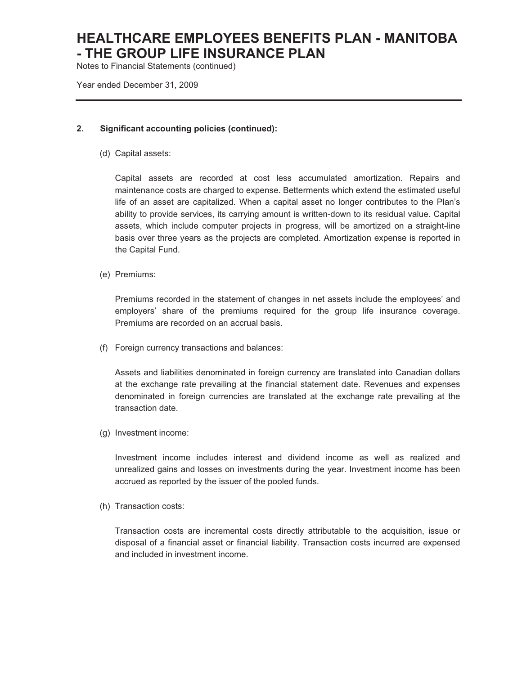Notes to Financial Statements (continued)

Year ended December 31, 2009

#### **2. Significant accounting policies (continued):**

(d) Capital assets:

Capital assets are recorded at cost less accumulated amortization. Repairs and maintenance costs are charged to expense. Betterments which extend the estimated useful life of an asset are capitalized. When a capital asset no longer contributes to the Plan's ability to provide services, its carrying amount is written-down to its residual value. Capital assets, which include computer projects in progress, will be amortized on a straight-line basis over three years as the projects are completed. Amortization expense is reported in the Capital Fund.

(e) Premiums:

Premiums recorded in the statement of changes in net assets include the employees' and employers' share of the premiums required for the group life insurance coverage. Premiums are recorded on an accrual basis.

(f) Foreign currency transactions and balances:

Assets and liabilities denominated in foreign currency are translated into Canadian dollars at the exchange rate prevailing at the financial statement date. Revenues and expenses denominated in foreign currencies are translated at the exchange rate prevailing at the transaction date.

(g) Investment income:

Investment income includes interest and dividend income as well as realized and unrealized gains and losses on investments during the year. Investment income has been accrued as reported by the issuer of the pooled funds.

(h) Transaction costs:

Transaction costs are incremental costs directly attributable to the acquisition, issue or disposal of a financial asset or financial liability. Transaction costs incurred are expensed and included in investment income.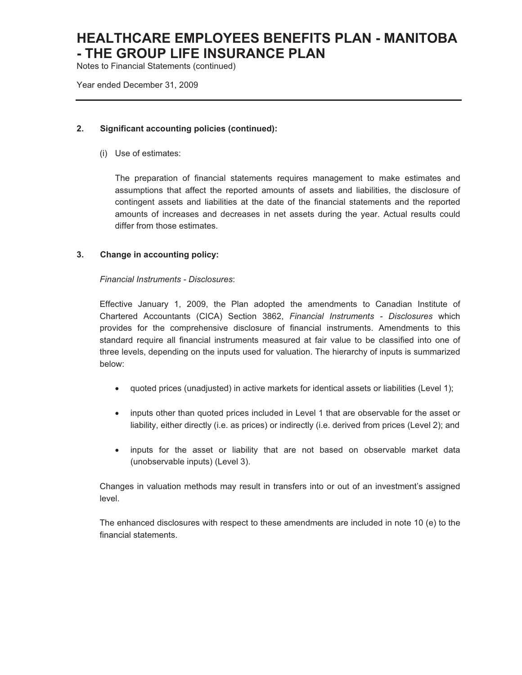Notes to Financial Statements (continued)

Year ended December 31, 2009

#### **2. Significant accounting policies (continued):**

(i) Use of estimates:

The preparation of financial statements requires management to make estimates and assumptions that affect the reported amounts of assets and liabilities, the disclosure of contingent assets and liabilities at the date of the financial statements and the reported amounts of increases and decreases in net assets during the year. Actual results could differ from those estimates.

#### **3. Change in accounting policy:**

#### *Financial Instruments - Disclosures*:

Effective January 1, 2009, the Plan adopted the amendments to Canadian Institute of Chartered Accountants (CICA) Section 3862, *Financial Instruments - Disclosures* which provides for the comprehensive disclosure of financial instruments. Amendments to this standard require all financial instruments measured at fair value to be classified into one of three levels, depending on the inputs used for valuation. The hierarchy of inputs is summarized below:

- quoted prices (unadjusted) in active markets for identical assets or liabilities (Level 1);
- $\bullet$  inputs other than quoted prices included in Level 1 that are observable for the asset or liability, either directly (i.e. as prices) or indirectly (i.e. derived from prices (Level 2); and
- inputs for the asset or liability that are not based on observable market data (unobservable inputs) (Level 3).

Changes in valuation methods may result in transfers into or out of an investment's assigned level.

The enhanced disclosures with respect to these amendments are included in note 10 (e) to the financial statements.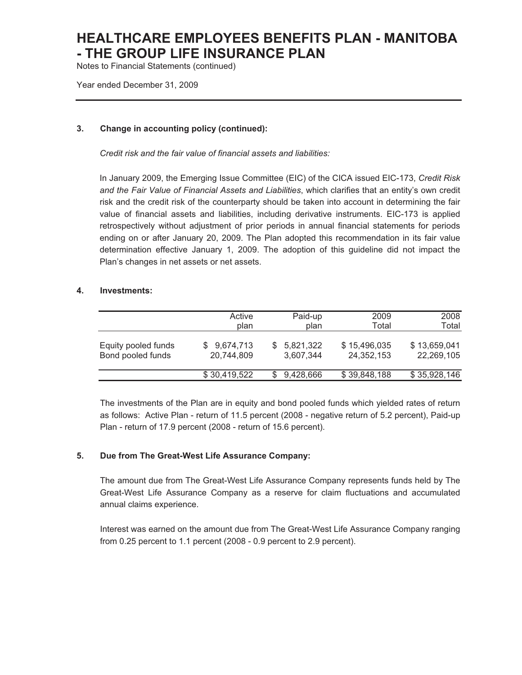Notes to Financial Statements (continued)

Year ended December 31, 2009

#### **3. Change in accounting policy (continued):**

*Credit risk and the fair value of financial assets and liabilities:* 

In January 2009, the Emerging Issue Committee (EIC) of the CICA issued EIC-173, *Credit Risk and the Fair Value of Financial Assets and Liabilities*, which clarifies that an entity's own credit risk and the credit risk of the counterparty should be taken into account in determining the fair value of financial assets and liabilities, including derivative instruments. EIC-173 is applied retrospectively without adjustment of prior periods in annual financial statements for periods ending on or after January 20, 2009. The Plan adopted this recommendation in its fair value determination effective January 1, 2009. The adoption of this guideline did not impact the Plan's changes in net assets or net assets.

#### **4. Investments:**

|                                          | Active<br>plan            | Paid-up<br>plan        | 2009<br>Total              | 2008<br>Total              |
|------------------------------------------|---------------------------|------------------------|----------------------------|----------------------------|
| Equity pooled funds<br>Bond pooled funds | \$9,674,713<br>20,744,809 | 5,821,322<br>3,607,344 | \$15,496,035<br>24,352,153 | \$13,659,041<br>22,269,105 |
|                                          | \$30,419,522              | 9,428,666              | \$39,848,188               | \$35,928,146               |

The investments of the Plan are in equity and bond pooled funds which yielded rates of return as follows: Active Plan - return of 11.5 percent (2008 - negative return of 5.2 percent), Paid-up Plan - return of 17.9 percent (2008 - return of 15.6 percent).

#### **5. Due from The Great-West Life Assurance Company:**

The amount due from The Great-West Life Assurance Company represents funds held by The Great-West Life Assurance Company as a reserve for claim fluctuations and accumulated annual claims experience.

Interest was earned on the amount due from The Great-West Life Assurance Company ranging from 0.25 percent to 1.1 percent (2008 - 0.9 percent to 2.9 percent).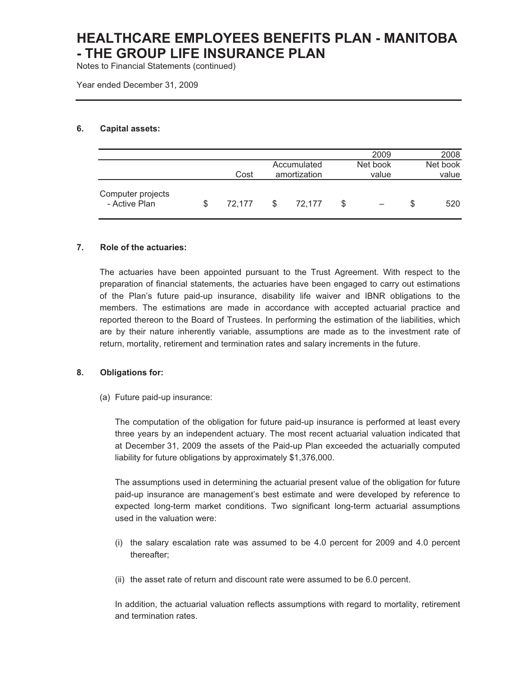Notes to Financial Statements (continued)

Year ended December 31, 2009

#### **6. Capital assets:**

|                                    |              |              |   | 2009     | 2008     |
|------------------------------------|--------------|--------------|---|----------|----------|
|                                    |              | Accumulated  |   | Net book | Net book |
|                                    | Cost         | amortization |   | value    | value    |
| Computer projects<br>- Active Plan | \$<br>72.177 | \$<br>72.177 | S |          | 520      |

#### **7. Role of the actuaries:**

The actuaries have been appointed pursuant to the Trust Agreement. With respect to the preparation of financial statements, the actuaries have been engaged to carry out estimations of the Plan's future paid-up insurance, disability life waiver and IBNR obligations to the members. The estimations are made in accordance with accepted actuarial practice and reported thereon to the Board of Trustees. In performing the estimation of the liabilities, which are by their nature inherently variable, assumptions are made as to the investment rate of return, mortality, retirement and termination rates and salary increments in the future.

#### **8. Obligations for:**

(a) Future paid-up insurance:

The computation of the obligation for future paid-up insurance is performed at least every three years by an independent actuary. The most recent actuarial valuation indicated that at December 31, 2009 the assets of the Paid-up Plan exceeded the actuarially computed liability for future obligations by approximately \$1,376,000.

The assumptions used in determining the actuarial present value of the obligation for future paid-up insurance are management's best estimate and were developed by reference to expected long-term market conditions. Two significant long-term actuarial assumptions used in the valuation were:

- (i) the salary escalation rate was assumed to be 4.0 percent for 2009 and 4.0 percent thereafter;
- (ii) the asset rate of return and discount rate were assumed to be 6.0 percent.

In addition, the actuarial valuation reflects assumptions with regard to mortality, retirement and termination rates.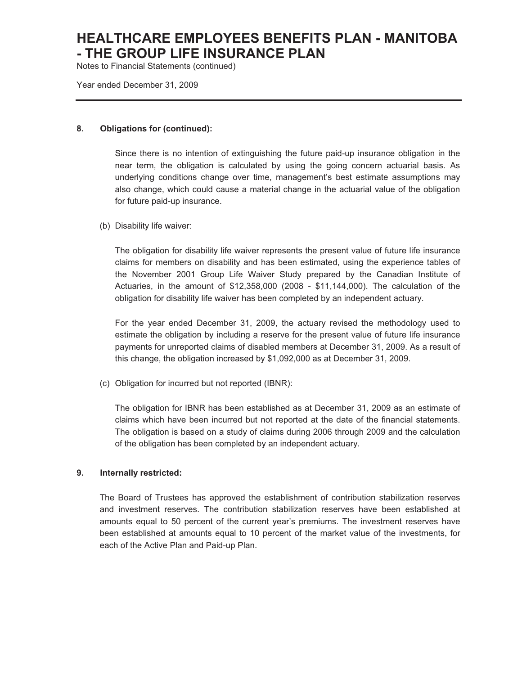Notes to Financial Statements (continued)

Year ended December 31, 2009

#### **8. Obligations for (continued):**

Since there is no intention of extinguishing the future paid-up insurance obligation in the near term, the obligation is calculated by using the going concern actuarial basis. As underlying conditions change over time, management's best estimate assumptions may also change, which could cause a material change in the actuarial value of the obligation for future paid-up insurance.

(b) Disability life waiver:

The obligation for disability life waiver represents the present value of future life insurance claims for members on disability and has been estimated, using the experience tables of the November 2001 Group Life Waiver Study prepared by the Canadian Institute of Actuaries, in the amount of \$12,358,000 (2008 - \$11,144,000). The calculation of the obligation for disability life waiver has been completed by an independent actuary.

For the year ended December 31, 2009, the actuary revised the methodology used to estimate the obligation by including a reserve for the present value of future life insurance payments for unreported claims of disabled members at December 31, 2009. As a result of this change, the obligation increased by \$1,092,000 as at December 31, 2009.

(c) Obligation for incurred but not reported (IBNR):

The obligation for IBNR has been established as at December 31, 2009 as an estimate of claims which have been incurred but not reported at the date of the financial statements. The obligation is based on a study of claims during 2006 through 2009 and the calculation of the obligation has been completed by an independent actuary.

#### **9. Internally restricted:**

The Board of Trustees has approved the establishment of contribution stabilization reserves and investment reserves. The contribution stabilization reserves have been established at amounts equal to 50 percent of the current year's premiums. The investment reserves have been established at amounts equal to 10 percent of the market value of the investments, for each of the Active Plan and Paid-up Plan.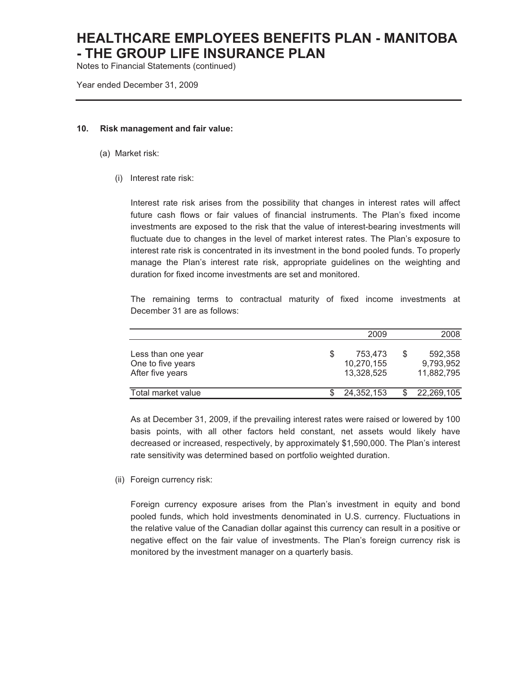Notes to Financial Statements (continued)

Year ended December 31, 2009

#### **10. Risk management and fair value:**

- (a) Market risk:
	- (i) Interest rate risk:

Interest rate risk arises from the possibility that changes in interest rates will affect future cash flows or fair values of financial instruments. The Plan's fixed income investments are exposed to the risk that the value of interest-bearing investments will fluctuate due to changes in the level of market interest rates. The Plan's exposure to interest rate risk is concentrated in its investment in the bond pooled funds. To properly manage the Plan's interest rate risk, appropriate guidelines on the weighting and duration for fixed income investments are set and monitored.

The remaining terms to contractual maturity of fixed income investments at December 31 are as follows:

|                                                             | 2009                                |   | 2008                               |
|-------------------------------------------------------------|-------------------------------------|---|------------------------------------|
| Less than one year<br>One to five years<br>After five years | 753,473<br>10,270,155<br>13,328,525 | S | 592,358<br>9,793,952<br>11,882,795 |
| Total market value                                          | 24,352,153                          |   | 22,269,105                         |

As at December 31, 2009, if the prevailing interest rates were raised or lowered by 100 basis points, with all other factors held constant, net assets would likely have decreased or increased, respectively, by approximately \$1,590,000. The Plan's interest rate sensitivity was determined based on portfolio weighted duration.

(ii) Foreign currency risk:

Foreign currency exposure arises from the Plan's investment in equity and bond pooled funds, which hold investments denominated in U.S. currency. Fluctuations in the relative value of the Canadian dollar against this currency can result in a positive or negative effect on the fair value of investments. The Plan's foreign currency risk is monitored by the investment manager on a quarterly basis.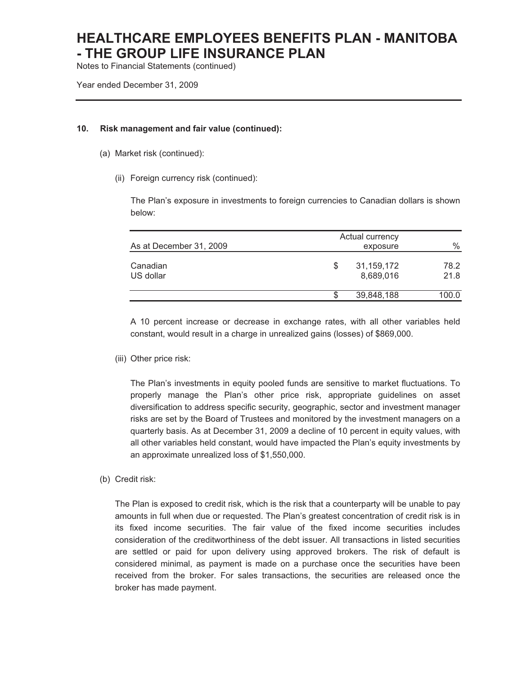Notes to Financial Statements (continued)

Year ended December 31, 2009

#### **10. Risk management and fair value (continued):**

- (a) Market risk (continued):
	- (ii) Foreign currency risk (continued):

The Plan's exposure in investments to foreign currencies to Canadian dollars is shown below:

| As at December 31, 2009 |    | Actual currency<br>exposure | $\%$         |
|-------------------------|----|-----------------------------|--------------|
| Canadian<br>US dollar   | \$ | 31,159,172<br>8,689,016     | 78.2<br>21.8 |
|                         | S  | 39,848,188                  | 100.0        |

A 10 percent increase or decrease in exchange rates, with all other variables held constant, would result in a charge in unrealized gains (losses) of \$869,000.

(iii) Other price risk:

The Plan's investments in equity pooled funds are sensitive to market fluctuations. To properly manage the Plan's other price risk, appropriate guidelines on asset diversification to address specific security, geographic, sector and investment manager risks are set by the Board of Trustees and monitored by the investment managers on a quarterly basis. As at December 31, 2009 a decline of 10 percent in equity values, with all other variables held constant, would have impacted the Plan's equity investments by an approximate unrealized loss of \$1,550,000.

(b) Credit risk:

The Plan is exposed to credit risk, which is the risk that a counterparty will be unable to pay amounts in full when due or requested. The Plan's greatest concentration of credit risk is in its fixed income securities. The fair value of the fixed income securities includes consideration of the creditworthiness of the debt issuer. All transactions in listed securities are settled or paid for upon delivery using approved brokers. The risk of default is considered minimal, as payment is made on a purchase once the securities have been received from the broker. For sales transactions, the securities are released once the broker has made payment.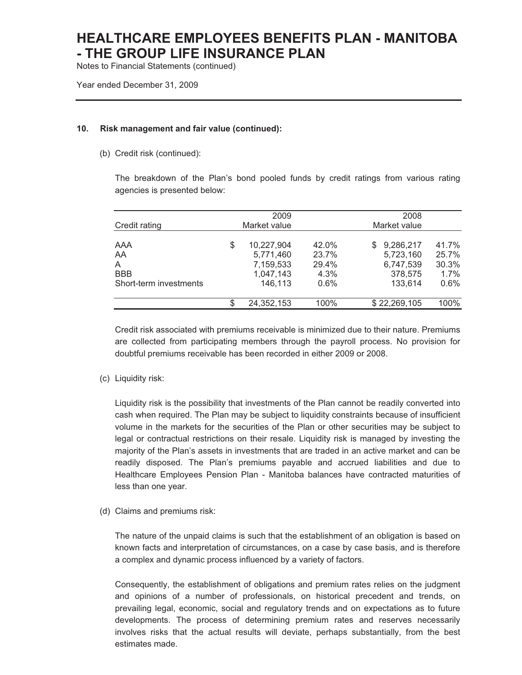Notes to Financial Statements (continued)

Year ended December 31, 2009

#### **10. Risk management and fair value (continued):**

(b) Credit risk (continued):

The breakdown of the Plan's bond pooled funds by credit ratings from various rating agencies is presented below:

|                              | 2009                                                    |                                 | 2008                                                 |                                 |
|------------------------------|---------------------------------------------------------|---------------------------------|------------------------------------------------------|---------------------------------|
| Credit rating                | Market value                                            |                                 | Market value                                         |                                 |
| AAA<br>AA<br>A<br><b>BBB</b> | \$<br>10,227,904<br>5,771,460<br>7,159,533<br>1,047,143 | 42.0%<br>23.7%<br>29.4%<br>4.3% | 9,286,217<br>S.<br>5,723,160<br>6,747,539<br>378,575 | 41.7%<br>25.7%<br>30.3%<br>1.7% |
| Short-term investments       | 146,113                                                 | 0.6%                            | 133,614                                              | 0.6%                            |
|                              | 24,352,153                                              | 100%                            | \$22,269,105                                         | 100%                            |

Credit risk associated with premiums receivable is minimized due to their nature. Premiums are collected from participating members through the payroll process. No provision for doubtful premiums receivable has been recorded in either 2009 or 2008.

(c) Liquidity risk:

Liquidity risk is the possibility that investments of the Plan cannot be readily converted into cash when required. The Plan may be subject to liquidity constraints because of insufficient volume in the markets for the securities of the Plan or other securities may be subject to legal or contractual restrictions on their resale. Liquidity risk is managed by investing the majority of the Plan's assets in investments that are traded in an active market and can be readily disposed. The Plan's premiums payable and accrued liabilities and due to Healthcare Employees Pension Plan - Manitoba balances have contracted maturities of less than one year.

(d) Claims and premiums risk:

The nature of the unpaid claims is such that the establishment of an obligation is based on known facts and interpretation of circumstances, on a case by case basis, and is therefore a complex and dynamic process influenced by a variety of factors.

Consequently, the establishment of obligations and premium rates relies on the judgment and opinions of a number of professionals, on historical precedent and trends, on prevailing legal, economic, social and regulatory trends and on expectations as to future developments. The process of determining premium rates and reserves necessarily involves risks that the actual results will deviate, perhaps substantially, from the best estimates made.